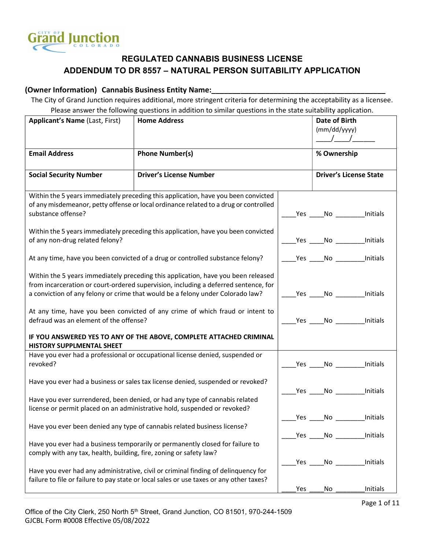

#### (Owner Information) Cannabis Business Entity Name:

The City of Grand Junction requires additional, more stringent criteria for determining the acceptability as a licensee. Please answer the following questions in addition to similar questions in the state suitability application.

| <b>Applicant's Name (Last, First)</b>                                                                                                                                                                                                                      | <b>Home Address</b>                                                                                                                                                           |                                     | Date of Birth<br>(mm/dd/yyyy)          |                               |  |
|------------------------------------------------------------------------------------------------------------------------------------------------------------------------------------------------------------------------------------------------------------|-------------------------------------------------------------------------------------------------------------------------------------------------------------------------------|-------------------------------------|----------------------------------------|-------------------------------|--|
|                                                                                                                                                                                                                                                            |                                                                                                                                                                               |                                     |                                        |                               |  |
| <b>Email Address</b>                                                                                                                                                                                                                                       | <b>Phone Number(s)</b>                                                                                                                                                        |                                     | % Ownership                            |                               |  |
| <b>Social Security Number</b>                                                                                                                                                                                                                              | <b>Driver's License Number</b>                                                                                                                                                |                                     |                                        | <b>Driver's License State</b> |  |
| substance offense?                                                                                                                                                                                                                                         | Within the 5 years immediately preceding this application, have you been convicted<br>of any misdemeanor, petty offense or local ordinance related to a drug or controlled    |                                     | Yes _______No _____________Initials    |                               |  |
| of any non-drug related felony?                                                                                                                                                                                                                            | Within the 5 years immediately preceding this application, have you been convicted                                                                                            |                                     | _____Yes ______No ___________Initials  |                               |  |
|                                                                                                                                                                                                                                                            | At any time, have you been convicted of a drug or controlled substance felony?                                                                                                |                                     | ______Yes ______No ___________Initials |                               |  |
| Within the 5 years immediately preceding this application, have you been released<br>from incarceration or court-ordered supervision, including a deferred sentence, for<br>a conviction of any felony or crime that would be a felony under Colorado law? |                                                                                                                                                                               | Yes No Initials                     |                                        |                               |  |
| At any time, have you been convicted of any crime of which fraud or intent to<br>defraud was an element of the offense?                                                                                                                                    |                                                                                                                                                                               | Yes No Initials                     |                                        |                               |  |
| <b>HISTORY SUPPLMENTAL SHEET</b>                                                                                                                                                                                                                           | IF YOU ANSWERED YES TO ANY OF THE ABOVE, COMPLETE ATTACHED CRIMINAL                                                                                                           |                                     |                                        |                               |  |
| revoked?                                                                                                                                                                                                                                                   | Have you ever had a professional or occupational license denied, suspended or                                                                                                 |                                     | Yes No Initials                        |                               |  |
| Have you ever had a business or sales tax license denied, suspended or revoked?                                                                                                                                                                            |                                                                                                                                                                               | Yes _______No _____________Initials |                                        |                               |  |
| Have you ever surrendered, been denied, or had any type of cannabis related<br>license or permit placed on an administrative hold, suspended or revoked?                                                                                                   |                                                                                                                                                                               | Yes _______No _____________Initials |                                        |                               |  |
| Have you ever been denied any type of cannabis related business license?                                                                                                                                                                                   | Yes                                                                                                                                                                           | No l                                | Initials                               |                               |  |
| Have you ever had a business temporarily or permanently closed for failure to<br>comply with any tax, health, building, fire, zoning or safety law?                                                                                                        |                                                                                                                                                                               |                                     |                                        |                               |  |
|                                                                                                                                                                                                                                                            | Have you ever had any administrative, civil or criminal finding of delinquency for<br>failure to file or failure to pay state or local sales or use taxes or any other taxes? | Yes                                 | No                                     | Initials                      |  |
|                                                                                                                                                                                                                                                            |                                                                                                                                                                               | Yes                                 | No                                     | Initials                      |  |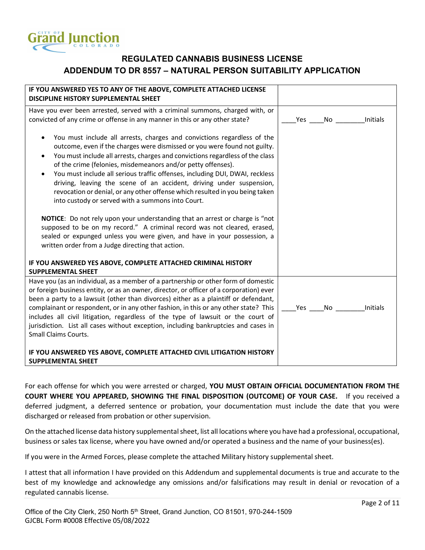

| IF YOU ANSWERED YES TO ANY OF THE ABOVE, COMPLETE ATTACHED LICENSE<br>DISCIPLINE HISTORY SUPPLEMENTAL SHEET                                                                                                                                                                                                                                                                                                                                                                                                                                                                                                                                                                                                                                                                                                                                                                                                               |        |                 |
|---------------------------------------------------------------------------------------------------------------------------------------------------------------------------------------------------------------------------------------------------------------------------------------------------------------------------------------------------------------------------------------------------------------------------------------------------------------------------------------------------------------------------------------------------------------------------------------------------------------------------------------------------------------------------------------------------------------------------------------------------------------------------------------------------------------------------------------------------------------------------------------------------------------------------|--------|-----------------|
| Have you ever been arrested, served with a criminal summons, charged with, or                                                                                                                                                                                                                                                                                                                                                                                                                                                                                                                                                                                                                                                                                                                                                                                                                                             |        |                 |
| convicted of any crime or offense in any manner in this or any other state?                                                                                                                                                                                                                                                                                                                                                                                                                                                                                                                                                                                                                                                                                                                                                                                                                                               | Yes No | <b>Initials</b> |
| You must include all arrests, charges and convictions regardless of the<br>outcome, even if the charges were dismissed or you were found not guilty.<br>You must include all arrests, charges and convictions regardless of the class<br>$\bullet$<br>of the crime (felonies, misdemeanors and/or petty offenses).<br>You must include all serious traffic offenses, including DUI, DWAI, reckless<br>$\bullet$<br>driving, leaving the scene of an accident, driving under suspension,<br>revocation or denial, or any other offense which resulted in you being taken<br>into custody or served with a summons into Court.<br>NOTICE: Do not rely upon your understanding that an arrest or charge is "not<br>supposed to be on my record." A criminal record was not cleared, erased,<br>sealed or expunged unless you were given, and have in your possession, a<br>written order from a Judge directing that action. |        |                 |
| IF YOU ANSWERED YES ABOVE, COMPLETE ATTACHED CRIMINAL HISTORY                                                                                                                                                                                                                                                                                                                                                                                                                                                                                                                                                                                                                                                                                                                                                                                                                                                             |        |                 |
| <b>SUPPLEMENTAL SHEET</b>                                                                                                                                                                                                                                                                                                                                                                                                                                                                                                                                                                                                                                                                                                                                                                                                                                                                                                 |        |                 |
| Have you (as an individual, as a member of a partnership or other form of domestic<br>or foreign business entity, or as an owner, director, or officer of a corporation) ever<br>been a party to a lawsuit (other than divorces) either as a plaintiff or defendant,<br>complainant or respondent, or in any other fashion, in this or any other state? This<br>includes all civil litigation, regardless of the type of lawsuit or the court of<br>jurisdiction. List all cases without exception, including bankruptcies and cases in<br><b>Small Claims Courts.</b>                                                                                                                                                                                                                                                                                                                                                    | Yes No | Initials        |
| IF YOU ANSWERED YES ABOVE, COMPLETE ATTACHED CIVIL LITIGATION HISTORY<br><b>SUPPLEMENTAL SHEET</b>                                                                                                                                                                                                                                                                                                                                                                                                                                                                                                                                                                                                                                                                                                                                                                                                                        |        |                 |

For each offense for which you were arrested or charged, YOU MUST OBTAIN OFFICIAL DOCUMENTATION FROM THE COURT WHERE YOU APPEARED, SHOWING THE FINAL DISPOSITION (OUTCOME) OF YOUR CASE. If you received a deferred judgment, a deferred sentence or probation, your documentation must include the date that you were discharged or released from probation or other supervision.

On the attached license data history supplemental sheet, list all locations where you have had a professional, occupational, business or sales tax license, where you have owned and/or operated a business and the name of your business(es).

If you were in the Armed Forces, please complete the attached Military history supplemental sheet.

I attest that all information I have provided on this Addendum and supplemental documents is true and accurate to the best of my knowledge and acknowledge any omissions and/or falsifications may result in denial or revocation of a regulated cannabis license.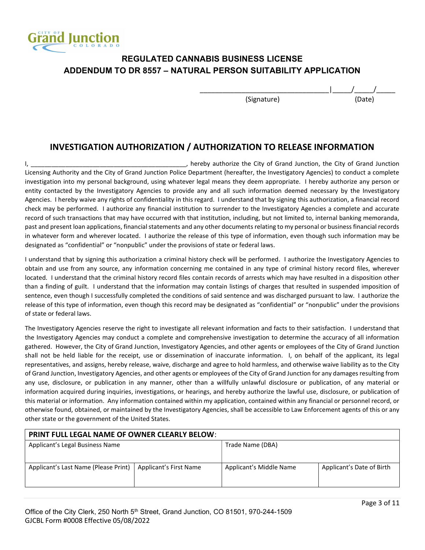

#### INVESTIGATION AUTHORIZATION / AUTHORIZATION TO RELEASE INFORMATION

I, \_\_\_\_\_\_\_\_\_\_\_\_\_\_\_\_\_\_\_\_\_\_\_\_\_\_\_\_\_\_\_\_\_\_\_\_\_\_\_\_\_\_\_\_\_, hereby authorize the City of Grand Junction, the City of Grand Junction Licensing Authority and the City of Grand Junction Police Department (hereafter, the Investigatory Agencies) to conduct a complete investigation into my personal background, using whatever legal means they deem appropriate. I hereby authorize any person or entity contacted by the Investigatory Agencies to provide any and all such information deemed necessary by the Investigatory Agencies. I hereby waive any rights of confidentiality in this regard. I understand that by signing this authorization, a financial record check may be performed. I authorize any financial institution to surrender to the Investigatory Agencies a complete and accurate record of such transactions that may have occurred with that institution, including, but not limited to, internal banking memoranda, past and present loan applications, financial statements and any other documents relating to my personal or business financial records in whatever form and wherever located. I authorize the release of this type of information, even though such information may be designated as "confidential" or "nonpublic" under the provisions of state or federal laws.

I understand that by signing this authorization a criminal history check will be performed. I authorize the Investigatory Agencies to obtain and use from any source, any information concerning me contained in any type of criminal history record files, wherever located. I understand that the criminal history record files contain records of arrests which may have resulted in a disposition other than a finding of guilt. I understand that the information may contain listings of charges that resulted in suspended imposition of sentence, even though I successfully completed the conditions of said sentence and was discharged pursuant to law. I authorize the release of this type of information, even though this record may be designated as "confidential" or "nonpublic" under the provisions of state or federal laws.

The Investigatory Agencies reserve the right to investigate all relevant information and facts to their satisfaction. I understand that the Investigatory Agencies may conduct a complete and comprehensive investigation to determine the accuracy of all information gathered. However, the City of Grand Junction, Investigatory Agencies, and other agents or employees of the City of Grand Junction shall not be held liable for the receipt, use or dissemination of inaccurate information. I, on behalf of the applicant, its legal representatives, and assigns, hereby release, waive, discharge and agree to hold harmless, and otherwise waive liability as to the City of Grand Junction, Investigatory Agencies, and other agents or employees of the City of Grand Junction for any damages resulting from any use, disclosure, or publication in any manner, other than a willfully unlawful disclosure or publication, of any material or information acquired during inquiries, investigations, or hearings, and hereby authorize the lawful use, disclosure, or publication of this material or information. Any information contained within my application, contained within any financial or personnel record, or otherwise found, obtained, or maintained by the Investigatory Agencies, shall be accessible to Law Enforcement agents of this or any other state or the government of the United States.

| <b>PRINT FULL LEGAL NAME OF OWNER CLEARLY BELOW:</b> |                        |                         |                           |  |  |
|------------------------------------------------------|------------------------|-------------------------|---------------------------|--|--|
| Applicant's Legal Business Name                      |                        | Trade Name (DBA)        |                           |  |  |
|                                                      |                        |                         |                           |  |  |
| Applicant's Last Name (Please Print)                 | Applicant's First Name | Applicant's Middle Name | Applicant's Date of Birth |  |  |
|                                                      |                        |                         |                           |  |  |
|                                                      |                        |                         |                           |  |  |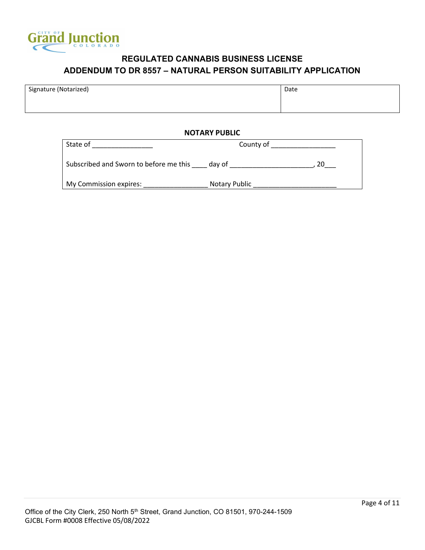

| Signature (Notarized) | Date |
|-----------------------|------|
|                       |      |
|                       |      |

#### NOTARY PUBLIC

| State of                               | County of     |  |
|----------------------------------------|---------------|--|
| Subscribed and Sworn to before me this | dav of        |  |
| My Commission expires:                 | Notary Public |  |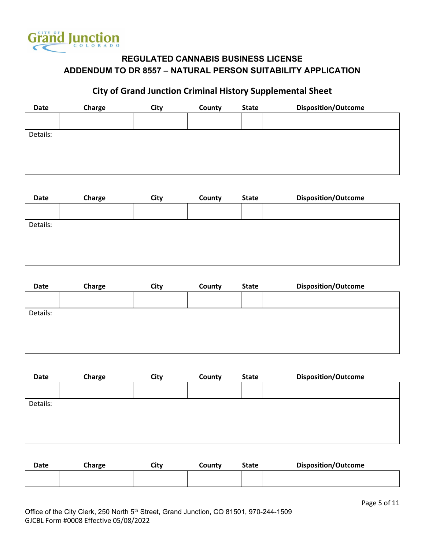

# City of Grand Junction Criminal History Supplemental Sheet

| <b>Date</b> | Charge | City | County | <b>State</b> | <b>Disposition/Outcome</b> |
|-------------|--------|------|--------|--------------|----------------------------|
|             |        |      |        |              |                            |
| Details:    |        |      |        |              |                            |
|             |        |      |        |              |                            |
|             |        |      |        |              |                            |
|             |        |      |        |              |                            |
|             |        |      |        |              |                            |

| Date     | Charge | City | County | <b>State</b> | <b>Disposition/Outcome</b> |
|----------|--------|------|--------|--------------|----------------------------|
|          |        |      |        |              |                            |
|          |        |      |        |              |                            |
| Details: |        |      |        |              |                            |
|          |        |      |        |              |                            |
|          |        |      |        |              |                            |
|          |        |      |        |              |                            |

| Date     | Charge | City | County | <b>State</b> | <b>Disposition/Outcome</b> |
|----------|--------|------|--------|--------------|----------------------------|
|          |        |      |        |              |                            |
| Details: |        |      |        |              |                            |
|          |        |      |        |              |                            |
|          |        |      |        |              |                            |
|          |        |      |        |              |                            |
|          |        |      |        |              |                            |

| Date     | Charge | City | County | <b>State</b> | <b>Disposition/Outcome</b> |
|----------|--------|------|--------|--------------|----------------------------|
|          |        |      |        |              |                            |
| Details: |        |      |        |              |                            |
|          |        |      |        |              |                            |
|          |        |      |        |              |                            |
|          |        |      |        |              |                            |
|          |        |      |        |              |                            |

| <b>Date</b> | Charge | City | County | <b>State</b> | <b>Disposition/Outcome</b> |
|-------------|--------|------|--------|--------------|----------------------------|
|             |        |      |        |              |                            |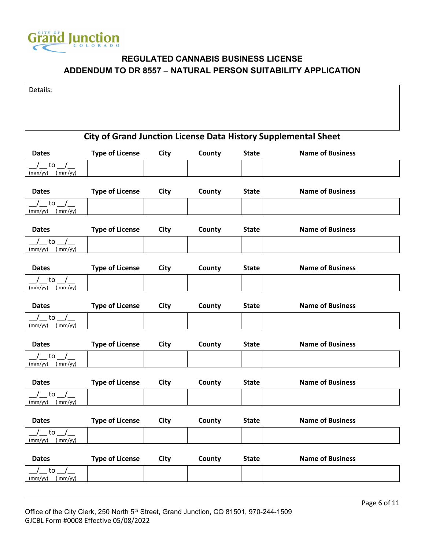

| Details:                                                              |                        |             |        |              |                         |  |  |
|-----------------------------------------------------------------------|------------------------|-------------|--------|--------------|-------------------------|--|--|
|                                                                       |                        |             |        |              |                         |  |  |
|                                                                       |                        |             |        |              |                         |  |  |
|                                                                       |                        |             |        |              |                         |  |  |
| <b>City of Grand Junction License Data History Supplemental Sheet</b> |                        |             |        |              |                         |  |  |
| <b>Dates</b>                                                          | <b>Type of License</b> | City        | County | <b>State</b> | <b>Name of Business</b> |  |  |
| to<br>(mm/yy)<br>(mm/yy)                                              |                        |             |        |              |                         |  |  |
| <b>Dates</b>                                                          | <b>Type of License</b> | City        | County | <b>State</b> | <b>Name of Business</b> |  |  |
| to<br>(mm/yy)<br>(mm/yy)                                              |                        |             |        |              |                         |  |  |
| <b>Dates</b>                                                          | <b>Type of License</b> | City        | County | <b>State</b> | <b>Name of Business</b> |  |  |
| to<br>(mm/yy)<br>(mm/yy)                                              |                        |             |        |              |                         |  |  |
| <b>Dates</b>                                                          | <b>Type of License</b> | City        | County | <b>State</b> | <b>Name of Business</b> |  |  |
| $\mathsf{to}$<br>(mm/yy)<br>(mm/yy)                                   |                        |             |        |              |                         |  |  |
| <b>Dates</b>                                                          | <b>Type of License</b> | City        | County | <b>State</b> | <b>Name of Business</b> |  |  |
| to<br>(mm/yy)<br>(mm/yy)                                              |                        |             |        |              |                         |  |  |
| <b>Dates</b>                                                          | <b>Type of License</b> | City        | County | <b>State</b> | <b>Name of Business</b> |  |  |
| to<br>(mm/yy)<br>(mm/yy)                                              |                        |             |        |              |                         |  |  |
| <b>Dates</b>                                                          | <b>Type of License</b> | City        | County | <b>State</b> | <b>Name of Business</b> |  |  |
| to<br>(mm/yy)<br>(mm/yy)                                              |                        |             |        |              |                         |  |  |
| <b>Dates</b>                                                          | <b>Type of License</b> | <b>City</b> | County | <b>State</b> | <b>Name of Business</b> |  |  |
| to<br>(mm/yy)<br>(mm/yy)                                              |                        |             |        |              |                         |  |  |
| <b>Dates</b>                                                          | <b>Type of License</b> | <b>City</b> | County | <b>State</b> | <b>Name of Business</b> |  |  |
| to<br>(mm/yy)<br>(mm/yy)                                              |                        |             |        |              |                         |  |  |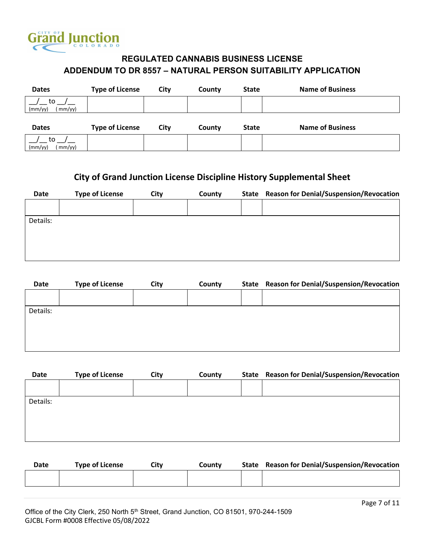

| <b>Dates</b>             | <b>Type of License</b> | City | County | <b>State</b> | <b>Name of Business</b> |
|--------------------------|------------------------|------|--------|--------------|-------------------------|
| to<br>(mm/yy)<br>(mm/yy) |                        |      |        |              |                         |
|                          |                        |      |        |              |                         |
| <b>Dates</b>             | <b>Type of License</b> | City | County | <b>State</b> | <b>Name of Business</b> |

# City of Grand Junction License Discipline History Supplemental Sheet

| Date     | <b>Type of License</b> | City | County | State Reason for Denial/Suspension/Revocation |
|----------|------------------------|------|--------|-----------------------------------------------|
|          |                        |      |        |                                               |
| Details: |                        |      |        |                                               |
|          |                        |      |        |                                               |
|          |                        |      |        |                                               |
|          |                        |      |        |                                               |

| Date     | <b>Type of License</b> | City | County | State Reason for Denial/Suspension/Revocation |
|----------|------------------------|------|--------|-----------------------------------------------|
|          |                        |      |        |                                               |
| Details: |                        |      |        |                                               |
|          |                        |      |        |                                               |
|          |                        |      |        |                                               |
|          |                        |      |        |                                               |

| <b>Date</b> | <b>Type of License</b> | City | County | State Reason for Denial/Suspension/Revocation |
|-------------|------------------------|------|--------|-----------------------------------------------|
|             |                        |      |        |                                               |
| Details:    |                        |      |        |                                               |
|             |                        |      |        |                                               |
|             |                        |      |        |                                               |
|             |                        |      |        |                                               |
|             |                        |      |        |                                               |

| <b>Date</b> | <b>Type of License</b> | Citv | Countv | State Reason for Denial/Suspension/Revocation |
|-------------|------------------------|------|--------|-----------------------------------------------|
|             |                        |      |        |                                               |
|             |                        |      |        |                                               |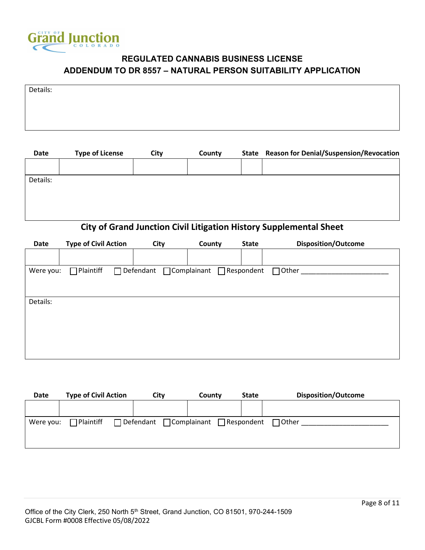

| Details: |  |  |
|----------|--|--|
|          |  |  |
|          |  |  |
|          |  |  |

| Date     | <b>Type of License</b> | City | County | State Reason for Denial/Suspension/Revocation                      |
|----------|------------------------|------|--------|--------------------------------------------------------------------|
|          |                        |      |        |                                                                    |
|          |                        |      |        |                                                                    |
| Details: |                        |      |        |                                                                    |
|          |                        |      |        |                                                                    |
|          |                        |      |        |                                                                    |
|          |                        |      |        |                                                                    |
|          |                        |      |        |                                                                    |
|          |                        |      |        | City of Grand Junction Civil Litigation History Sunnlamental Sheet |

#### City of Grand Junction Civil Litigation History Supplemental Sheet

|                  |           |                             | <b>State</b> | <b>Disposition/Outcome</b>                                      |
|------------------|-----------|-----------------------------|--------------|-----------------------------------------------------------------|
|                  |           |                             |              |                                                                 |
| $\Box$ Plaintiff |           |                             |              | $\Box$ Other                                                    |
|                  |           |                             |              |                                                                 |
|                  |           |                             |              |                                                                 |
|                  |           |                             |              |                                                                 |
|                  |           |                             |              |                                                                 |
|                  |           |                             |              |                                                                 |
|                  | Were you: | <b>Type of Civil Action</b> | City         | County<br>$\Box$ Defendant $\Box$ Complainant $\Box$ Respondent |

| Date      | <b>Type of Civil Action</b> | City | County                                                | <b>State</b> | <b>Disposition/Outcome</b> |
|-----------|-----------------------------|------|-------------------------------------------------------|--------------|----------------------------|
|           |                             |      |                                                       |              |                            |
| Were you: | $\Box$ Plaintiff            |      | $\Box$ Defendant $\Box$ Complainant $\Box$ Respondent |              | $\Box$ Other               |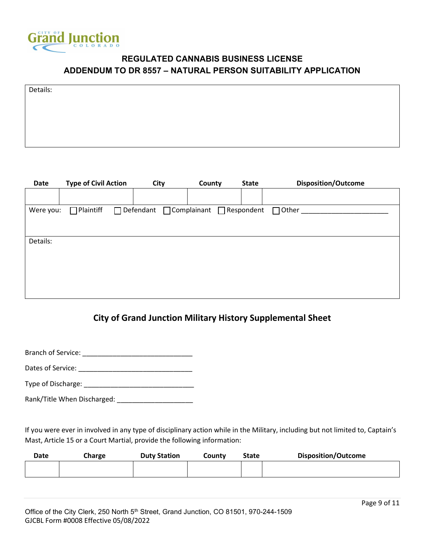

| Details: |  |  |  |
|----------|--|--|--|
|          |  |  |  |
|          |  |  |  |
|          |  |  |  |
|          |  |  |  |

|                  | City      | County                      | <b>State</b> | <b>Disposition/Outcome</b>                            |
|------------------|-----------|-----------------------------|--------------|-------------------------------------------------------|
|                  |           |                             |              |                                                       |
| $\Box$ Plaintiff |           |                             |              | $\Box$ Other $\Box$                                   |
|                  |           |                             |              |                                                       |
|                  |           |                             |              |                                                       |
|                  |           |                             |              |                                                       |
|                  |           |                             |              |                                                       |
|                  |           |                             |              |                                                       |
|                  | Were you: | <b>Type of Civil Action</b> |              | $\Box$ Defendant $\Box$ Complainant $\Box$ Respondent |

# City of Grand Junction Military History Supplemental Sheet

Branch of Service: \_\_\_\_\_\_\_\_\_\_\_\_\_\_\_\_\_\_\_\_\_\_\_\_\_\_\_\_\_

Dates of Service: \_\_\_\_\_\_\_\_\_\_\_\_\_\_\_\_\_\_\_\_\_\_\_\_\_\_\_\_\_\_

Type of Discharge: \_\_\_\_\_\_\_\_\_\_\_\_\_\_\_\_\_\_\_\_\_\_\_\_\_\_\_\_\_

Rank/Title When Discharged: \_\_\_\_\_\_\_\_\_\_\_\_\_\_\_\_\_\_\_\_

If you were ever in involved in any type of disciplinary action while in the Military, including but not limited to, Captain's Mast, Article 15 or a Court Martial, provide the following information:

| <b>Date</b> | Charge | <b>Duty Station</b> | County | <b>State</b> | <b>Disposition/Outcome</b> |
|-------------|--------|---------------------|--------|--------------|----------------------------|
|             |        |                     |        |              |                            |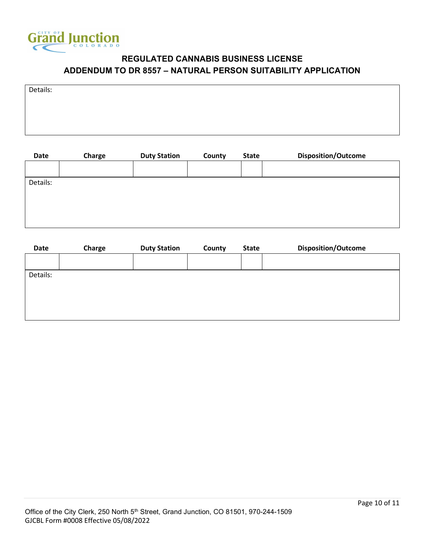

| Details: |  |  |
|----------|--|--|
|          |  |  |
|          |  |  |
|          |  |  |

| Charge | <b>Duty Station</b> | County | <b>State</b> | <b>Disposition/Outcome</b> |
|--------|---------------------|--------|--------------|----------------------------|
|        |                     |        |              |                            |
|        |                     |        |              |                            |
|        |                     |        |              |                            |
|        |                     |        |              |                            |
|        |                     |        |              |                            |
|        |                     |        |              |                            |

| <b>Date</b> | Charge | <b>Duty Station</b> | County | <b>State</b> | <b>Disposition/Outcome</b> |
|-------------|--------|---------------------|--------|--------------|----------------------------|
|             |        |                     |        |              |                            |
| Details:    |        |                     |        |              |                            |
|             |        |                     |        |              |                            |
|             |        |                     |        |              |                            |
|             |        |                     |        |              |                            |
|             |        |                     |        |              |                            |